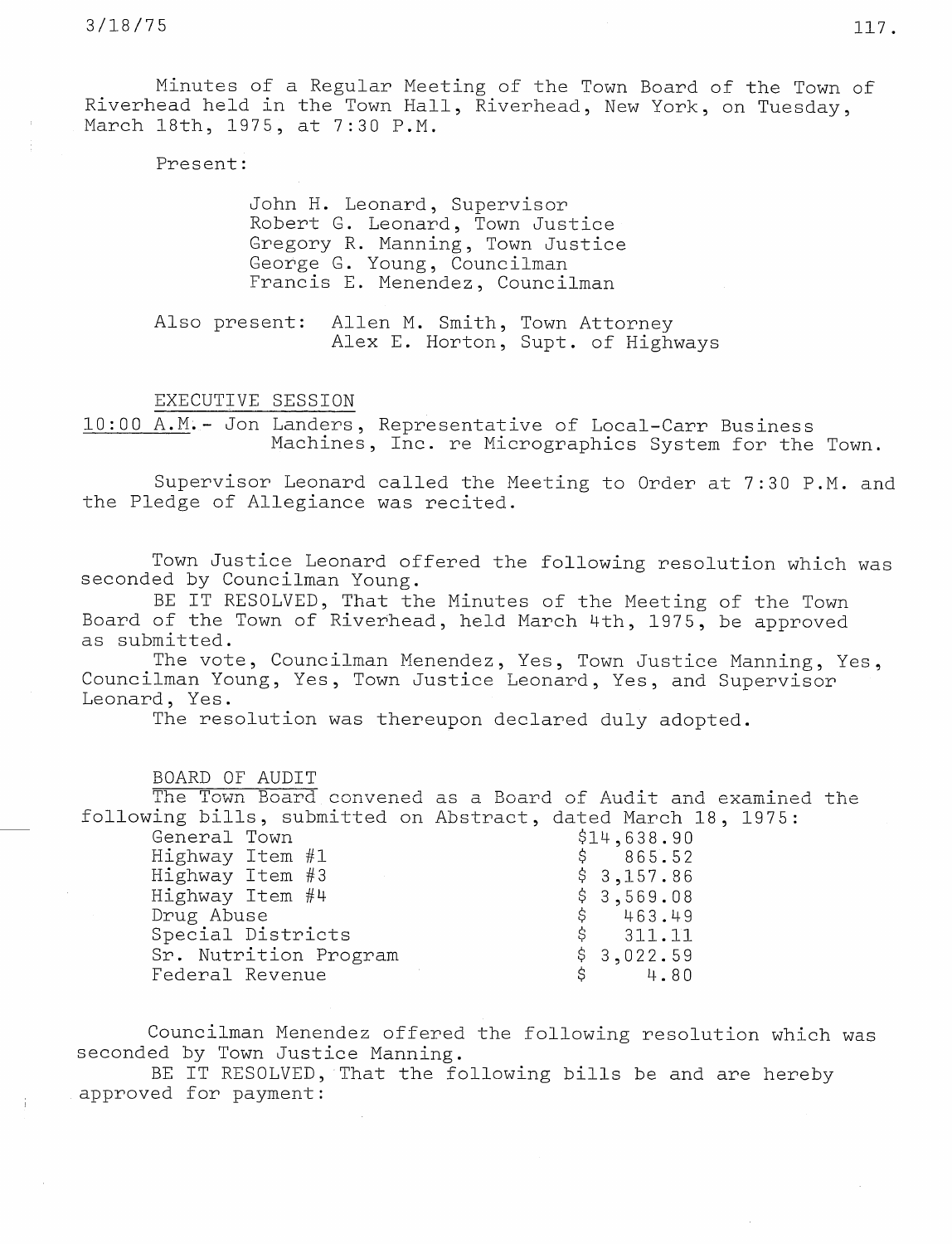Minutes of a Regular Meeting of the Town Board of the Town of Riverhead held in the Town Hall, Riverhead, New York, on Tuesday, March 18th, 1975, at 7:30 P.M.

Present:

John H. Leonard, Supervisor Robert G. Leonard, Town Justice Gregory R. Manning, Town Justice George G. Young, Councilman Francis E. Menendez, Councilman

Also present: Allen M. Smith, Town Attor Alex E. Horton, Supt. of Highw

EXECUTIVE SESSION

10:00 A.M.- Jon Landers, Representative of Local-Carr Business Machines, Inc. re Micrographics System for the Town.

Supervisor Leonard called the Meeting to Order at 7:30 P.M. and the Pledge of Allegiance was recited.

Town Justice Leonard offered the following resolution which was seconded by Councilman Young.

BE IT RESOLVED, That the Minutes of the Meeting of the Town Board of the Town of Riverhead, held March 4th, 1975, be approved as submitted.

The vote, Councilman Menendez, Yes, Town Justice Manning, Yes, Councilman Young, Yes, Town Justice Leonard, Yes, and Supervisor Leonard, Yes.

The resolution was thereupon declared duly adopted.

BOARD OF AUDIT

The Town Board convened as a Board of Audit and examined the following bills, submitted on Abstract, dated March 18, 1975:

| General Town          | \$14,638.90 |
|-----------------------|-------------|
| Highway Item #1       | \$865.52    |
| Highway Item #3       | \$3,157.86  |
| Highway Item #4       | \$3,569.08  |
| Drug Abuse            | \$463.49    |
| Special Districts     | \$311.11    |
| Sr. Nutrition Program | \$3,022.59  |
| Federal Revenue       | \$4.80      |

Councilman Menendez offered the following resolution which was seconded by Town Justice Manning.

BE IT RESOLVED, That the following bills be and are hereby approved for payment: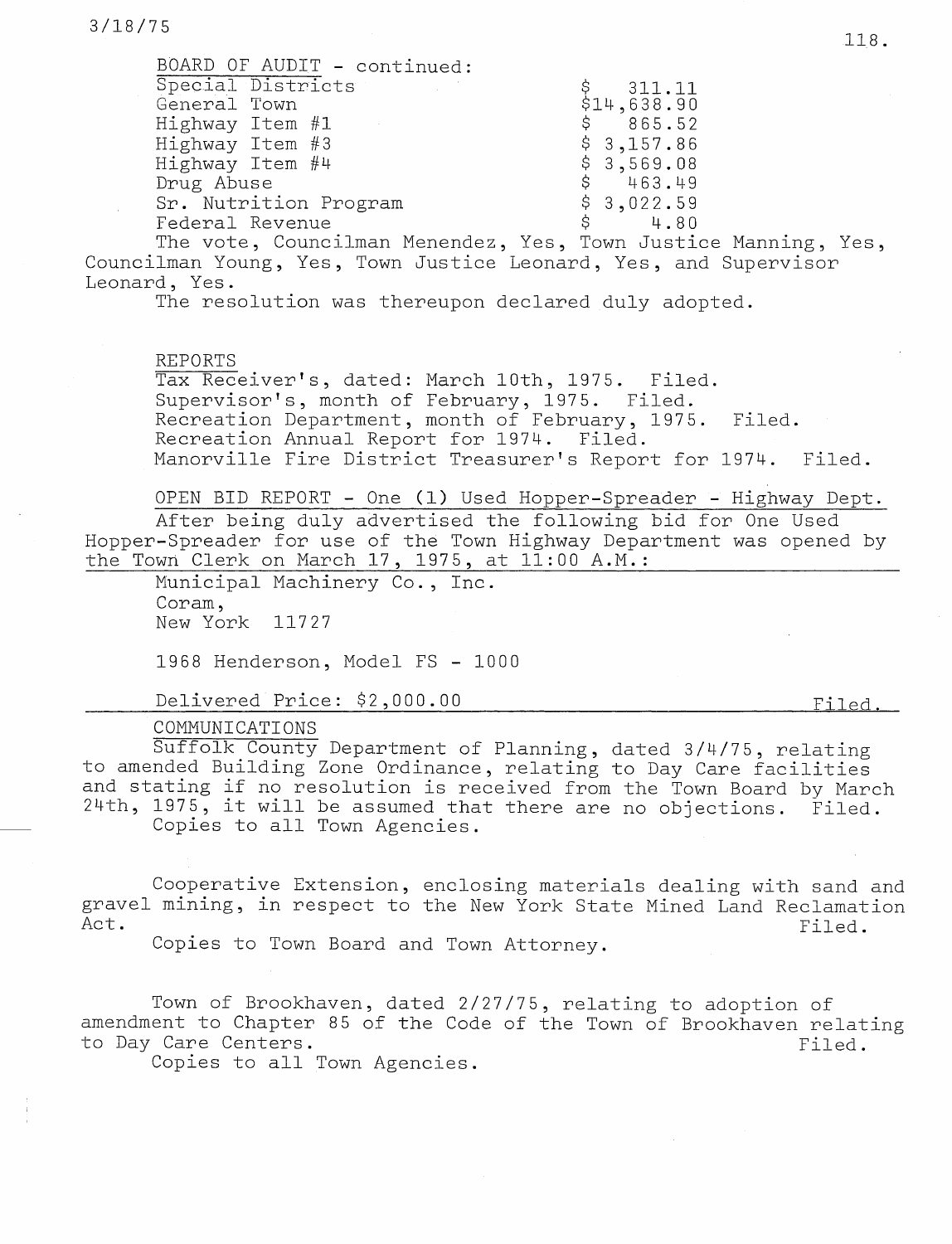| BOARD OF AUDIT - continued: |                           |
|-----------------------------|---------------------------|
| Special Districts           |                           |
| General Town                | $$311.11$<br>$$14,638.90$ |
| Highway Item #1             | \$865.52                  |
| Highway Item #3             | \$3,157.86                |
| Highway Item #4             | \$3,569.08                |
| Drug Abuse                  | \$463.49                  |
| Sr. Nutrition Program       | \$3,022.59                |
| Federal Revenue             | \$4.80                    |

The vote, Councilman Menendez, Yes, Town Justice Manning, Yes, Councilman Young, Yes, Town Justice Leonard, Yes, and Supervisor Leonard, Yes.

The resolution was thereupon declared duly adopted.

REPORTS

Tax Receiver's, dated: March 10th, 1975. Filed. Supervisor's, month of February, 1975. Filed. Recreation Department, month of February, 1975. Filed. Recreation Annual Report for 1974. Filed. Manorville Fire District Treasurer's Report for 1974. Filed.

OPEN BID REPORT - One (1) Used Hopper-Spreader - Highway Dept.

After being duly advertised the following bid for One Used Hopper-Spreader for use of the Town Highway Department was opened by the Town Clerk on March  $17$ ,  $1975$ , at  $11:00$  A.M.:

Municipal Machinery Co., Inc. Coram, New York 11727

1968 Henderson, Model FS - 1000

Delivered Price: \$2,000.00

### COMMUNICATIONS

Suffolk County Department of Planning, dated 3/4/75, relating to amended Building Zone Ordinance, relating to Day Care facilities and stating if no resolution is received from the Town Board by March 24th, 1975, it will be assumed that there are no objections. Filed. Copies to all Town Agencies.

Cooperative Extension, enclosing materials dealing with sand and gravel mining, in respect to the New York State Mined Land Reclamation Act. Filed.

Copies to Town Board and Town Attorney.

Town of Brookhaven, dated 2/27/75, relating to adoption of amendment to Chapter 85 of the Code of the Town of Brookhaven relating to Day Care Centers. The context of the context of the context of the context of the context of the context of the context of the context of the context of the context of the context of the context of the context of the co

Copies to all Town Agencies.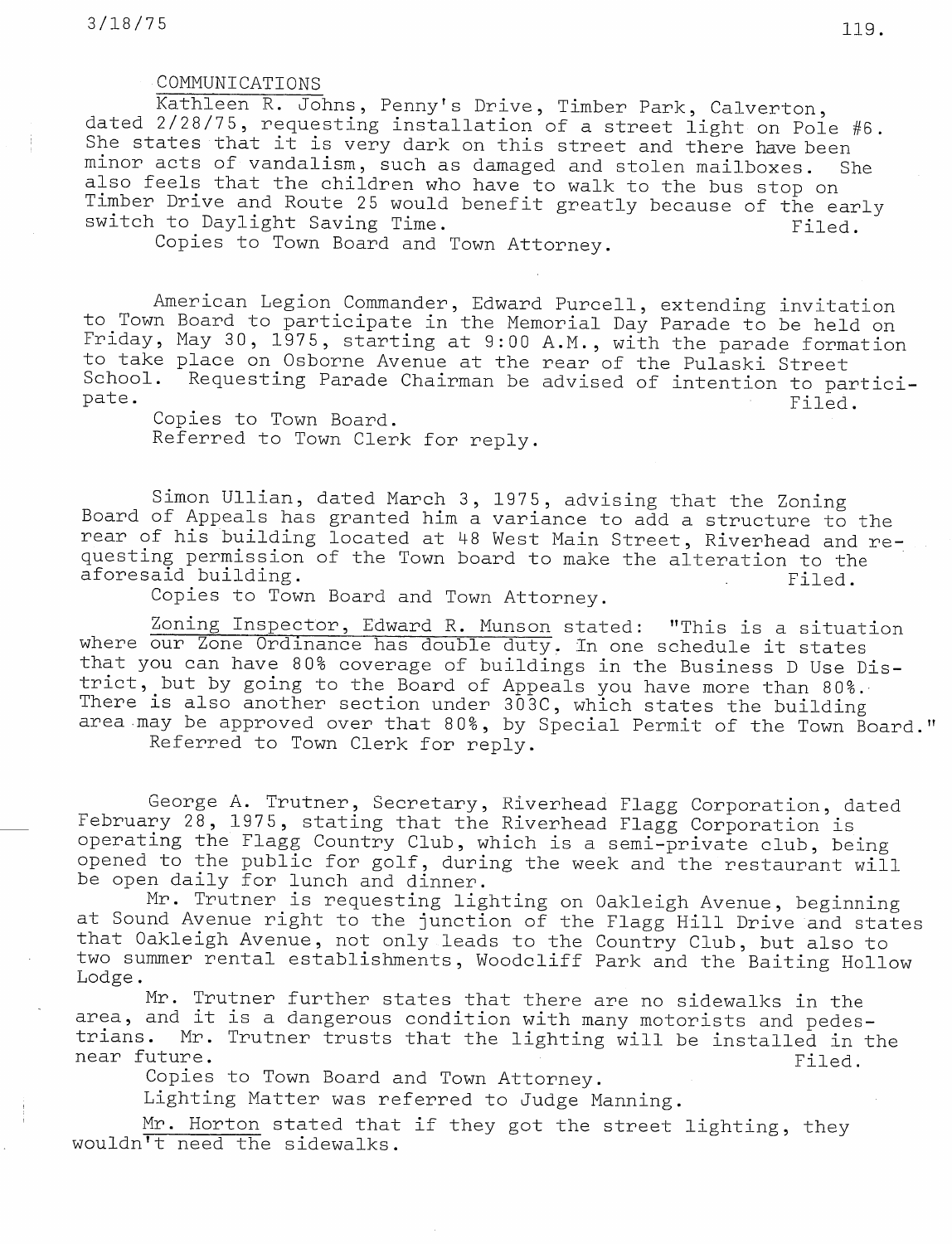### COMMUNICATIONS

Kathleen R. Johns, Penny's Drive, Timber Park, Calverton, dated 2/28/75, requesting installation of a street light on Pole #6. She states that it is very dark on this street and there have been minor acts of vandalism, such as damaged and stolen mailboxes. She also feels that the children who have to walk to the bus stop on Timber Drive and Route 25 would benefit greatly because of the early switch to Daylight Saving Time. The same of the same of the same of the same of the same of the same of the sa

Copies to Town Board and Town Attorney.

American Legion Commander, Edward Purcell, extending invitation to Town Board to participate in the Memorial Day Parade to be held on Friday, May 30, 1975, starting at 9:00 A.M., with the parade formation to take place on Osborne Avenue at the rear of the Pulaski Street School. Requesting Parade Chairman be advised of intention to par pate. Filed.

Copies to Town Board. Referred to Town Clerk for reply.

Simon Ullian, dated March 3, 1975, advising that the Zoning Board of Appeals has granted him a variance to add a structure to the rear of his building located at 48 West Main Street, Riverhead and requesting permission of the Town board to make the alteration to the aforesaid building. The same of the set of the set of the set of the set of the set of the set of the set of the set of the set of the set of the set of the set of the set of the set of the set of the set of the set of the

Copies to Town Board and Town Attorney.

Zoning Inspector, Edward R. Munson stated: "This is a situation where our Zone Ordinance has double duty. In one schedule it states that you can have 80% coverage of buildings in the Business D Use District, but by going to the Board of Appeals you have more than 80%. There is also another section under  $303C$ , which states the buil area may be approved over that 80%, by Special Permit of the Town Board

Referred to Town Clerk for reply.

George A. Trutner, Secretary, Riverhead Flagg Corporation, dat february 28, 1975, stating that the Riverhead Flagg Corporation i operating the Flagg Country Club, which is a semi-private club, being opened to the public for golf, during the week and the restaurant will be open daily for lunch and dinner.

Mr. Trutner is requesting lighting on Oakleigh Avenue, begin at Sound Avenue right to the junction of the Flagg Hill Drive and sta that Oakleigh Avenue, not only leads to the Country Club, but also to two summer rental establishments, Woodoliff Park and the Baiting Hollow Lodge.

Mr. Trutner further states that there are no sidewalks in the area, and it is a dangerous condition with many motorists and pedestrians. Mr. Trutner trusts that the lighting will be installed in the near future.<br>Filed.

Copies to Town Board and Town Attorney.

Lighting Matter was referred to Judge Manning.

Mr. Horton stated that if they got the street lighting, they wouldn't need the sidewalks.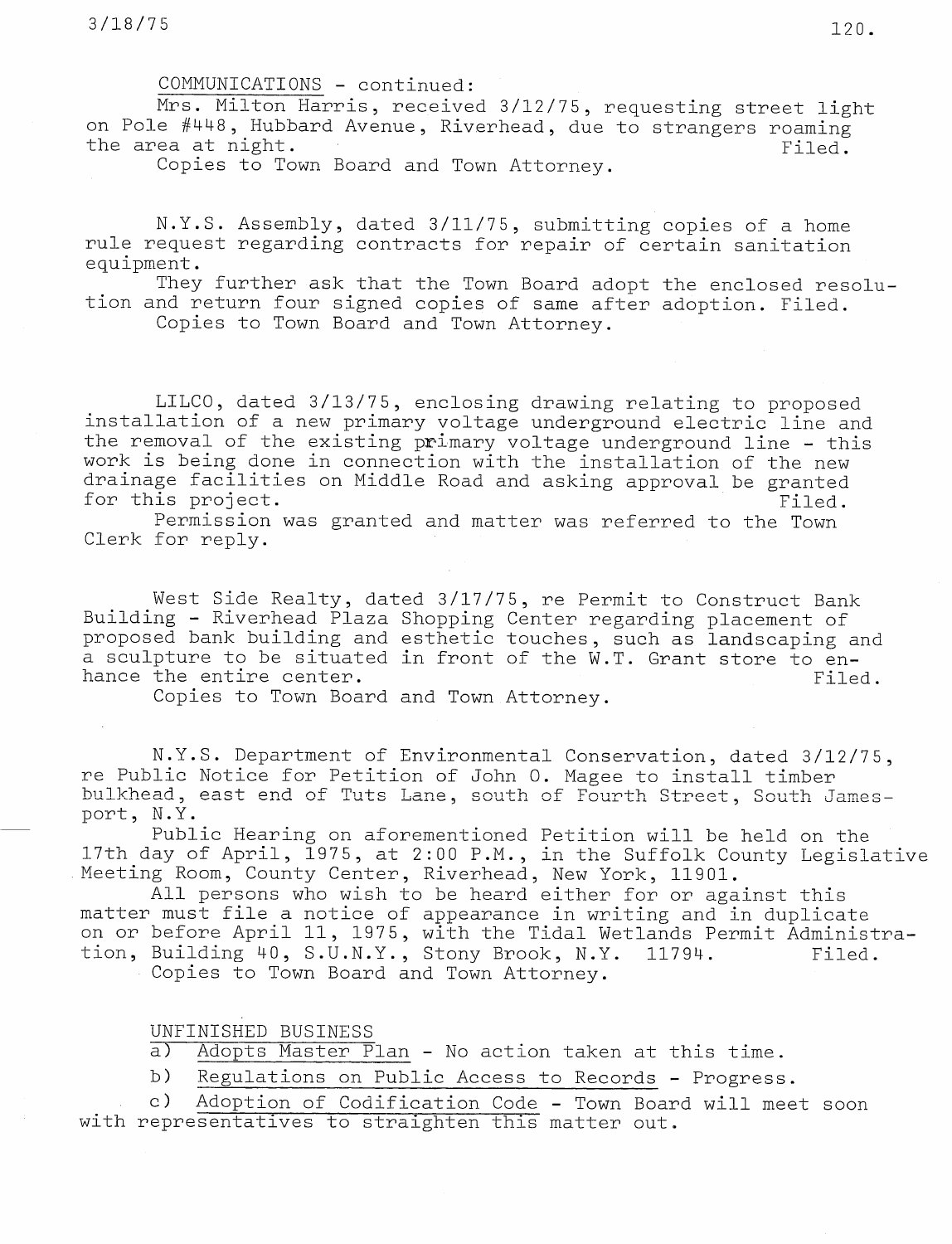COMMUNICATIONS - continued:

Mrs. Milton Harris, received 3/12/75, requesting street light on Pole #448, Hubbard Avenue, Riverhead, due to strangers roaming the area at night. The set of  $\mathsf{Filed.}$ 

Copies to Town Board and Town Attorney.

N.Y.S. Assembly, dated 3/11/75, submitting copies of <sup>a</sup> home rule request regarding contracts for repair of certain sanitation equipment.

They further ask that the Town Board adopt the enclosed resolution and return four signed copies of same after adoption. Filed.

Copies to Town Board and Town Attorney.

LILCO, dated 3/13/75, enclosing drawing relating to proposed installation of a new primary voltage underground electric line and the removal of the existing primary voltage underground line - this work is being done in connection with the installation of the new drainage facilities on Middle Road and asking approval be granted for this project.  $\overline{\phantom{a}}$  filed.

Permission was granted and matter was referred to the Town Clerk for reply.

West Side Realty, dated 3/17/75, re Permit to Construct Bank Building - Riverhead Plaza Shopping Center regarding placement of proposed bank building and esthetic touches, such as landscaping and a sculpture to be situated in front of the W.T. Grant store to enhance the entire center. The context of the state of the state of the state of the state of the state of the s

Copies to Town Board and Town.Attorney.

N.Y.S. Department of Environmental Conservation, dated 3/12/75, re Public Notice for Petition of John O. Magee to install timber bulkhead, east end of Tuts Lane, south of Fourth Street, South Jamesport, N.Y.

Public Hearing on aforementioned Petition will be held on the 17th day of April, 1975, at 2:00 P.M., in the Suffolk County Legislative Meeting Room, County Center, Riverhead, New York, 11901.

All persons who wish to be heard either for or against this matter must file a notice of appearance in writing and in duplicate on or before April 11, 1975, with the Tidal Wetlands Permit Administration, Building 40, S.U.N.Y., Stony Brook, N.Y. 11794. Filed. Copies to Town Board and Town Attorney.

UNFINISHED BUSINESS

a) Adopts Master Plan - No action taken at this time.

b) Regulations on Public Access to Records - Progress.

c) Adoption of Codification Code - Town Board will meet soon with representatives to straighten this matter out.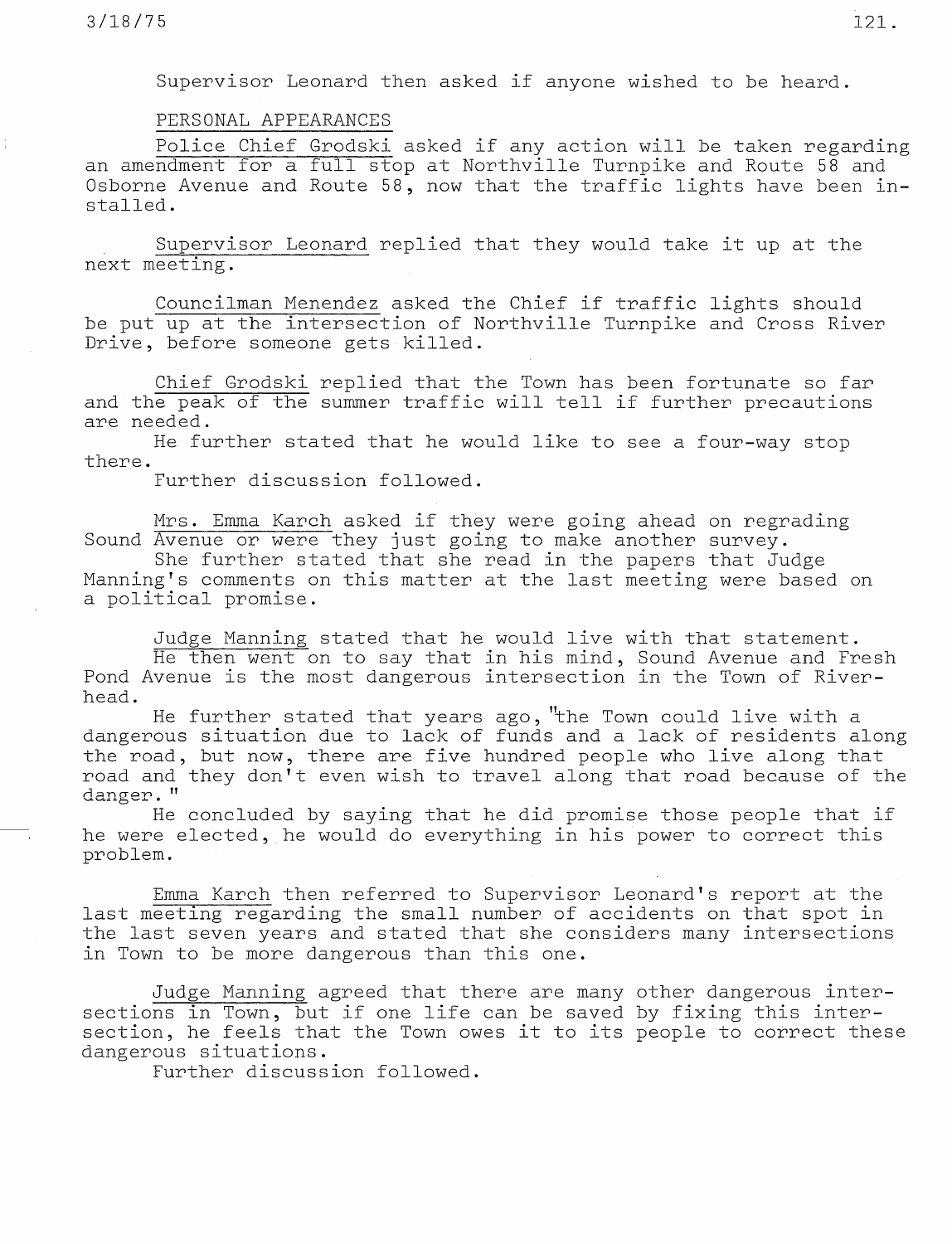Supervisor Leonard then asked if anyone wished to be heard.

# PERSONAL APPEARANCES

Police Chief Grodski asked if any action will be taken regarding an amendment for a full stop at Northville Turnpike and Route 58 and Osborne Avenue and Route 58, now that the traffic lights have been installed.

Supervisor Leonard replied that they would take it up at the next meeting.

Councilman Menendez asked the Chief if traffic lights should be put up at the intersection of Northville Turnpike and Cross River Drive, before someone gets killed.

Chief Grodski replied that the Town has been fortunate so far and the peak of the summer traffic will tell if further precautions are needed.

He further stated that he would like to see a four-way stop there.

Further discussion followed.

Mrs. Emma Karch asked if they were going ahead on regrading Sound Avenue or were they just going to make another survey.

She further stated that she read in the papers that Judge Manning's comments on this matter.at the last meeting were based on a political promise.

Judge Manning stated that he would live with that statement. He then went on to say that in his mind, Sound Avenue and Fresh Pond Avenue is the most dangerous intersection in the Town of Riverhead.

He further stated that years ago, "the Town could live with a dangerous situation due to lack of funds and a lack of residents along the road, but now, there are five hundred people who live along that road and they don't even wish to travel along that road because of the danger. "

He concluded by saying that he.did promise those people that if he were elected, he would do everything in his power to correct this problem.

Emma Karch then referred to Supervisor Leonard's report at the last meeting regarding the small number of accidents on that spot in the last seven years and stated that she considers many intersections in Town to be more dangerous than this one.

Judge Manning agreed that there are many other dangerous intersections in Town, but if one life can be saved by fixing this intersection, he feels that the Town owes it to its people to correct these dangerous situations.

Further discussion followed.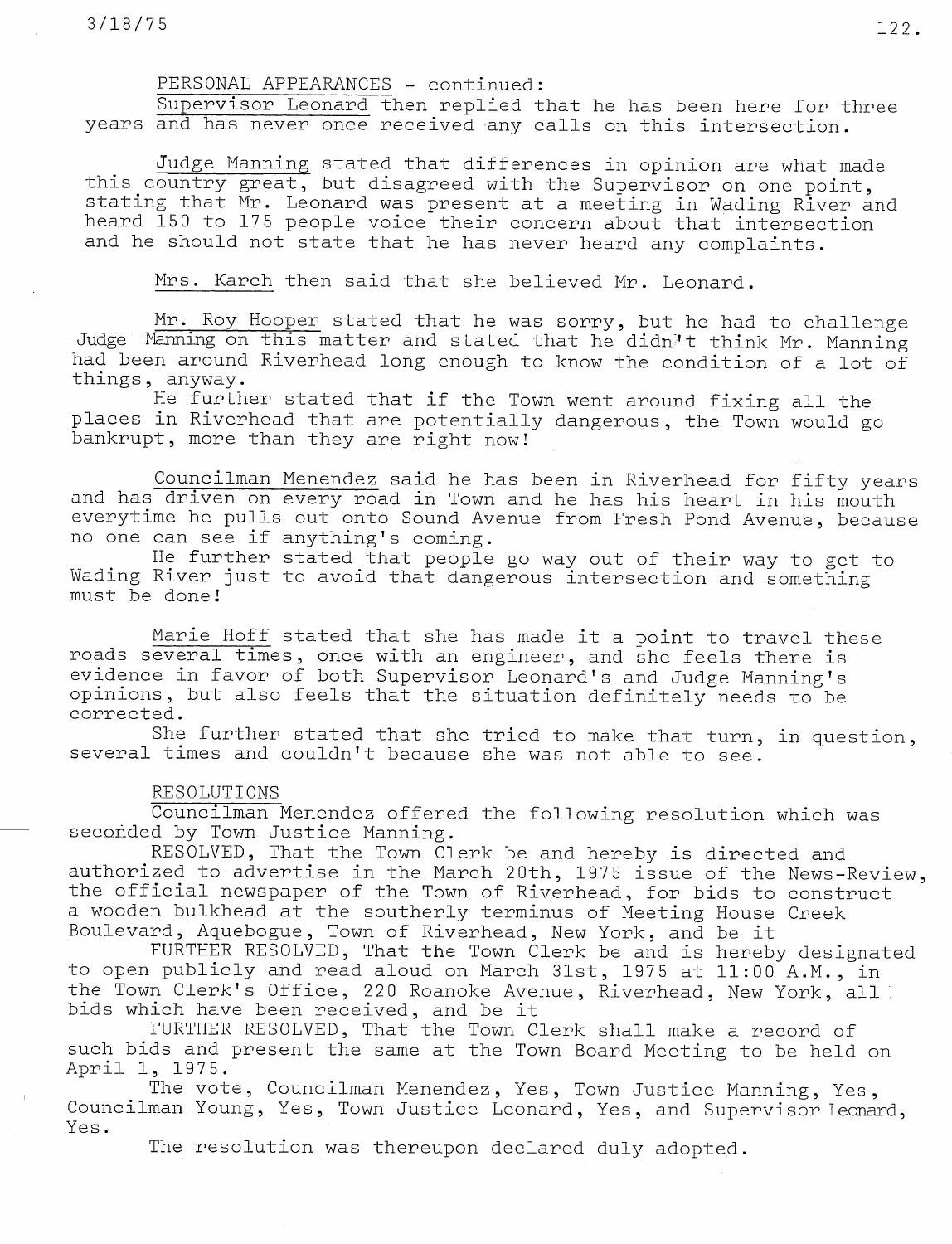# PERSONAL APPEARANCES - continued:

Supervisor Leonard then replied that he has been here for three vears and has never once received any calls on this intersection.

Judge Manning stated that differences in opinion are what made this country great, but disagreed with the Supervisor on one point, stating that Mr. Leonard was present at a meeting in Wading River and heard 150 to 175 people voice their concern about that intersection and he should not state that he has never heard any complaints.

Mrs. Karch then said that she believed Mr. Leonard.

Mr. Roy Hooper stated that he was sorry, but he had to challenge Judge Manning on this matter and stated that he didn't think Mr. Manning had been around Riverhead long enough to know the condition of a lot of things, anyway.

He further stated that if the Town went around fixing all the places in Riverhead that are potentially dangerous, the Town would go bankrupt, more than they are right now!

Councilman Menendez said he has been in Riverhead for fifty years and has driven on every road in Town and he has his heart in his mouth everytime he pulls out onto Sound Avenue from Fresh Pond Avenue, because no one can see if anything's coming.

He further stated that people go way out of their way to get to Wading River just to avoid that dangerous intersection and something must be done!

Marie Hoff stated that she has made it a point to travel these roads several times, once with an engineer, and she feels there is evidence in favor of both Supervisor Leonard's and Judge Manning's opinions, but also feels that the situation definitely needs to be corrected.

She further stated that she tried to make that turn, in question, several times and couldn't because she was not able to see.

#### RESOLUTIONS

Councilman Menendez offered the following resolution which was seconded by Town Justice Manning.

RESOLVED, That the Town Clerk be and hereby is directed and authorized to advertise in the March 20th, 1975 issue of the News-Review, the official newspaper of the Town of Riverhead, for bids to construct a wooden bulkhead at the southerly terminus of Meeting House Creek Boulevard, Aquebogue, Town of Riverhead, New York, and be it

FURTHER RESOLVED, That the Town Clerk be and is hereby designated to open publicly and read aloud on March 31st, <sup>1975</sup> at 11:00 A.M., in the Town Clerk's Office, 220 Roanoke Avenue, Riverhead, New York, all bids which have been received, and be it

FURTHER RESOLVED, That the Town Clerk shall make a record of such bids and present the same at the Town Board Meeting to be held on April 1, 1975.

The vote, Councilman Menendez, Yes, Town Justice Manning, Yes, Councilman Young, Yes, Town Justice Leonard, Yes, and Supervisor Leonard, Yes.

The resolution was thereupon declared duly adopted.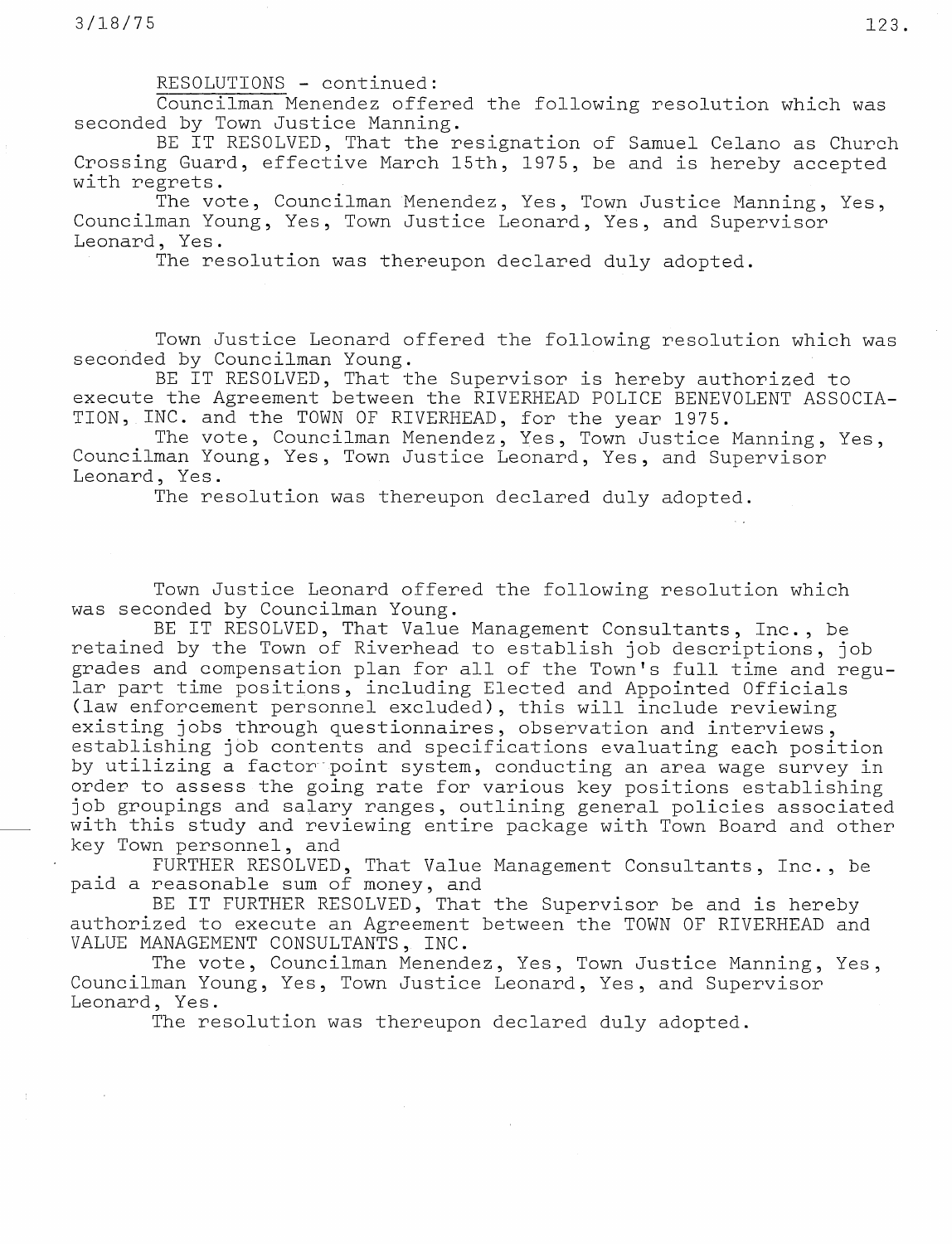RESOLUTIONS - continued:

Councilman Menendez offered the following resolution which was seconded by Town Justice Manning.

BE IT RESOLVED, That the resignation of Samuel Celano as Church Crossing Guard, effective March 15th, 1975, be and is hereby accepted with regrets.

The vote, Councilman Menendez, Yes, Town Justice Manning, Yes, Councilman Young, Yes, Town Justice Leonard, Yes, and Supervisor Leonard, Yes.

The resolution was thereupon declared duly adopted.

Town Justice Leonard offered the following resolution which was seconded by Councilman Young.

BE IT RESOLVED, That the Supervisor is hereby authorized to execute the Agreement between the RIVERHEAD POLICE BENEVOLENT ASSOCIA-TION, INC. and the TOWN OF RIVERHEAD, for the year 1975.

The vote, Councilman Menendez, Yes, Town Justice Manning, Yes, Councilman Young, Yes, Town Justice Leonard, Yes, and Supervisor Leonard, Yes.

The resolution was thereupon declared duly adopted.

Town Justice Leonard offered the following resolution which was seconded by Councilman Young.

BE IT RESOLVED, That Value Management Consultants, Inc., be retained by the Town of Riverhead to establish job descriptions, job grades and compensation plan for all of the Town's full time and regular part time positions, including Elected and Appointed Officials (law enforcement personnel excluded), this will include reviewing existing jobs through questionnaires, observation and interviews, establishing job contents and specifications evaluating each position by utilizing a factor point system, conducting an area wage survey in order to assess the going rate for various key positions establishing job groupings and salary ranges, outlining general policies associated with this study and reviewing entire package with Town Board and other key Town personnel, and

FURTHER RESOLVED, That Value Management Consultants, Inc., be paid a reasonable sum of money, and

BE IT FURTHER RESOLVED, That the Supervisor be and is hereby authorized to execute an Agreement between the TOWN OF RIVERHEAD and VALUE MANAGEMENT CONSULTANTS, INC.

The vote, Councilman Menendez, Yes, Town Justice Manning, Yes, Councilman Young, Yes, Town Justice Leonard, Yes, and Supervisor Leonard, Yes.

The resolution was thereupon declared duly adopted.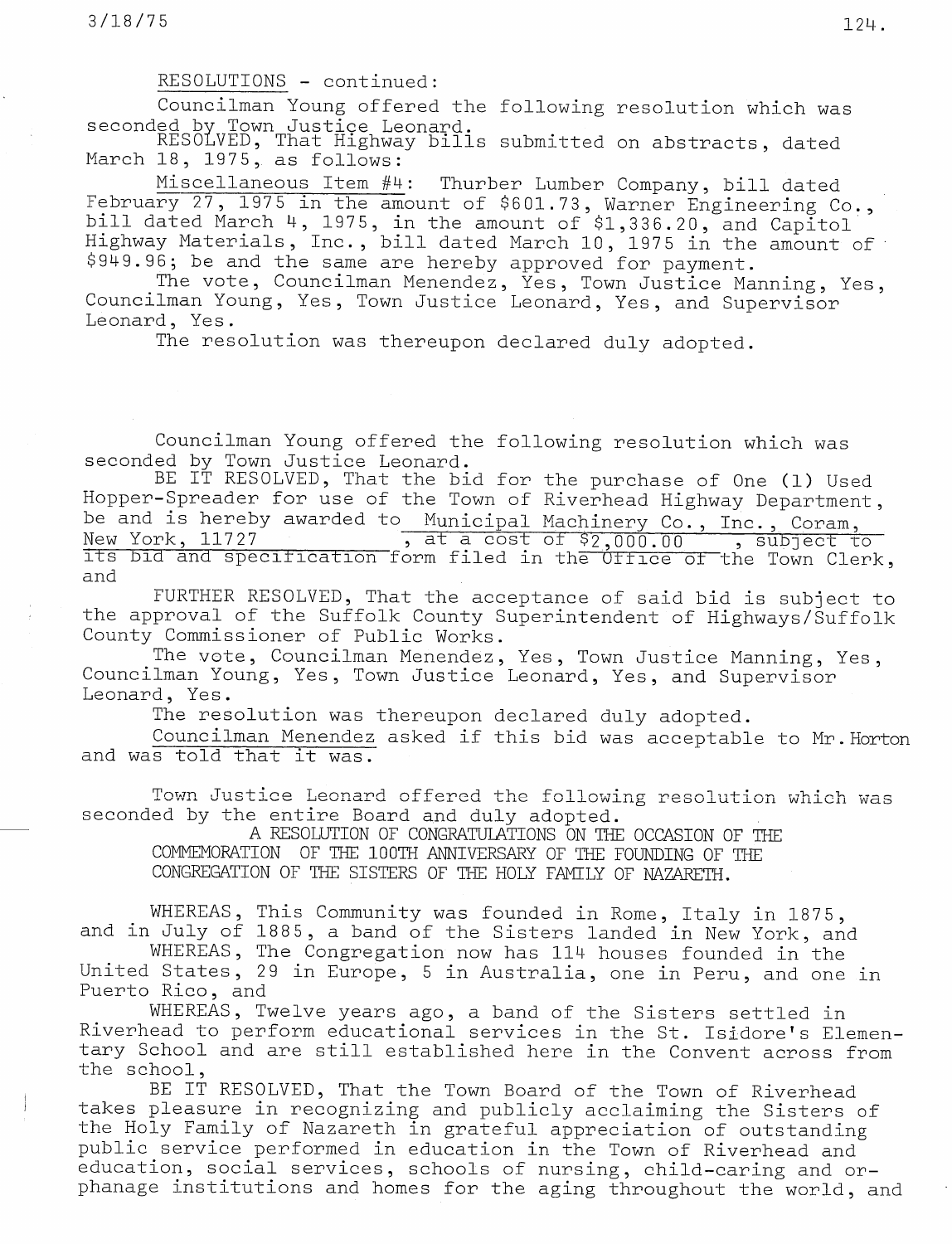RESOLUTIONS - continued:

Councilman Young offered the following resolution which was seconded by Town Justice Leona

<code>RESOLVED</code>, That Highway bills submitted on abstracts, <code>dat</code> March 18, 1975, as foll

Miscellaneous Item #4: Thurber Lumber Company, bill dated February 27, 1975 in the amount of \$601.73, Warner Engineering Co., bill dated March 4, 1975, in the amount of \$1,336.20, and Capitol Highway Materials, Inc., bill dated March 10, 1975 in the amount of \$949.96; be and the same are hereby approved for payment.

The vote, Councilman Menendez, Yes, Town Justice Manning, Yes, Councilman Young, Yes, Town Justice Leonard, Yes, and Supervisor Leonard, Yes.

The resolution was thereupon declared duly adopted.

Councilman Young offered the following resolution which was seconded by Town Justice Leonard.

BE IT RESOLVED, That the bid for the purchase of One (1) Used Hopper-Spreader for use of the Town of Riverhead Highway Department, be and is hereby awarded to Municipal Machinery Co., Inc., Coram,<br>New York, 11727 (at a cost of \$2,000.00 (subject to  $\frac{1}{\sqrt{1.55}}$  , at a cost of  $\frac{52,000.00}{\sqrt{1.55}}$  , subject to its bid and specification form filed in the Uffice of the Town Clerk, and

FURTHER RESOLVED, That the acceptance of said bid is subject to the approval of the Suffolk County Superintendent of Highways/Suffolk County Commissioner of Public Works.

The vote, Councilman Menendez, Yes, Town Justice Manning, Yes, Councilman Young, Yes, Town Justice Leonard, Yes, and Supervisor Leonard, Yes.

The resolution was thereupon declared duly adopted.

Councilman Menendez asked if this bid was acceptable to Mr.Horton and was told that it was.

Town Justice Leonard offered the following resolution which was seconded by the entire Board and duly adopted.

A RESOLUTION OF CONGRATULATIONS ON THE OCCASION OF THE COMMEMOFATION OF THE 100TH ANNIVERSARY OF THE FOUNDING OF THE CONGREGATION OF THE SISTERS OF THE HOLY FAMILY OF NAZARETH.

WHEREAS, This Community was founded in Rome, Italy in 1875, and in July of 1885, a band of the Sisters landed in New York, and

WHEREAS, The Congregation now has 114 houses founded in the United States, 29 in Europe, 5 in Australia, one in Peru, and one in Puerto Rico, and

WHEREAS, Twelve years ago, a band of the Sisters settled in Riverhead to perform educational services in the St. Isidore's Elementary School and are still established here in the Convent across from the school,

BE IT RESOLVED, That the Town Board of the Town of Riverhead takes pleasure in recognizing and publicly acclaiming the Sisters of the Holy Family of Nazareth in grateful appreciation of outstanding public service performed in education in the Town of Riverhead and education, social services, schools of nursing, child-caring and orphanage institutions and homes for the aging throughout the world, and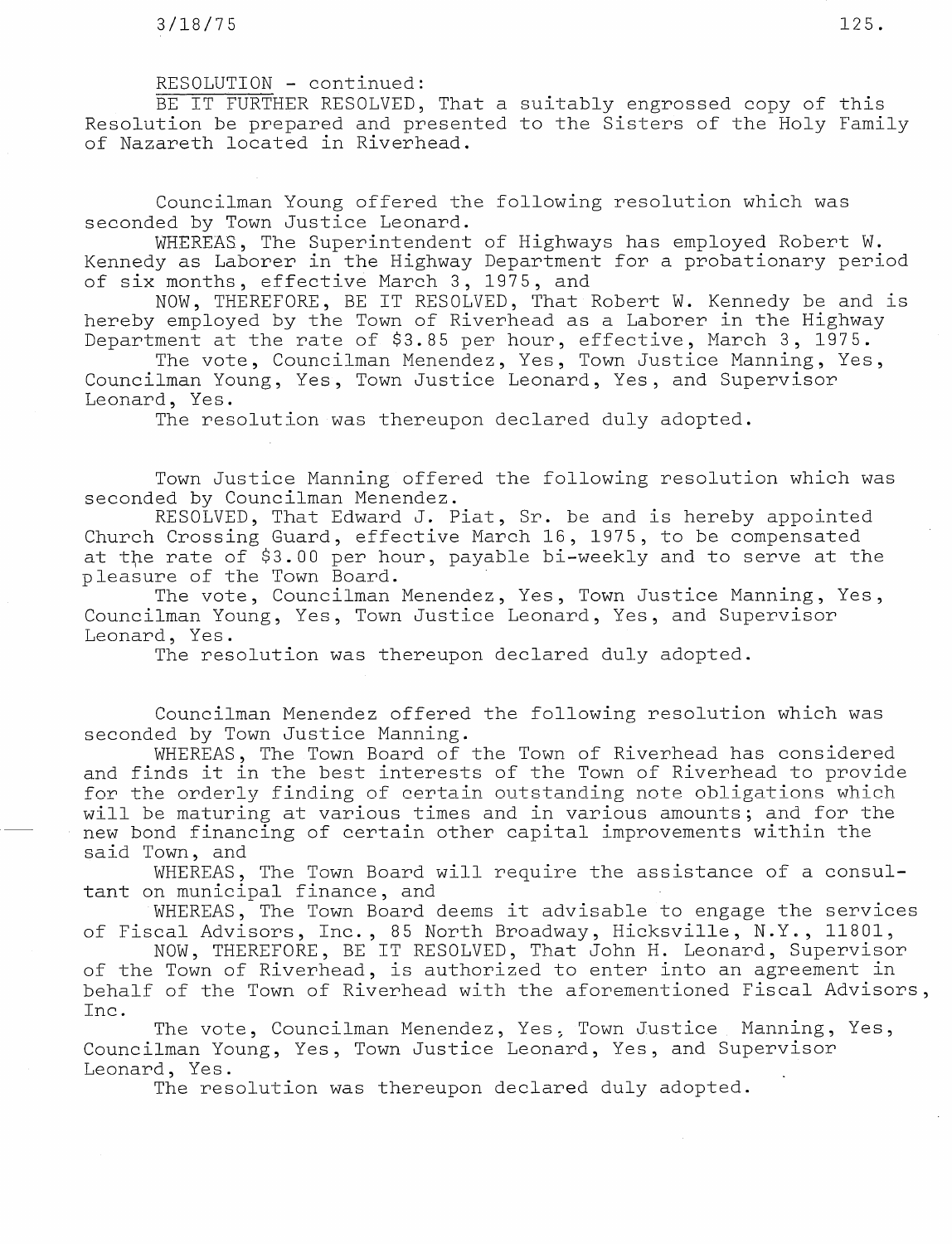# RESOLUTION - continued:

BE IT FURTHER RESOLVED, That a suitably engrossed copy of this Resolution be prepared and presented to the Sisters of the Holy Family of Nazareth located in Riverhead.

Councilman Young offered the following resolution which was seconded by Town Justice Leonard.

WHEREAS, The Superintendent of Highways has employed Robert W. Kennedy as Laborer in the Highway Department for a probationary period of six months, effective March 3, 1975, and

NOW, THEREFORE, BE IT RESOLVED, That Robert W. Kennedy be and is hereby employed by the Town of Riverhead as a Laborer in the Highway Department at the rate of \$3.85 per hour, effective, March 3, 1975.

The vote, Councilman Menendez, Yes, Town Justice Manning, Yes, Councilman Young, Yes, Town Justice Leonard, Yes, and Supervisor Leonard, Yes.

The resolution was thereupon declared duly adopted.

Town Justice Manning offered the following resolution which was seconded by Councilman Menendez.

RESOLVED, That Edward J. Piat, Sr. be and is hereby appointed Church Crossing Guard, effective March 16, 1975, to be compensated at tþe rate of \$3.00 per hour, payable bi-weekly and to serve at the pleasure of the Town Board.

The vote, Councilman Menendez, Yes, Town Justice Manning, Yes, Councilman Young, Yes, Town Justice Leonard, Yes, and Supervisor Leonard, Yes.

The resolution was thereupon declared duly adopted.

Councilman Menendez offered the following resolution which was seconded by Town Justice Manning.

WHEREAS, The Town Board of the Town of Riverhead has considered and finds it in the best interests of the Town of Riverhead to provide for the orderly finding of certain outstanding note obligations which will be maturing at various times and in various amounts; and for the new bond financing of certain other capital improvements within the said Town, and

WHEREAS, The Town Board will require the assistance of a consultant on municipal finance, and

WHEREAS, The Town Board deems it advisable to engage the services of Fiscal Advisors, Inc., 85 North Broadway, Hicksville, N.Y., 11801,

NOW, THEREFORE, BE IT RESOLVED, That John H. Leonard, Supervisor of the Town of Riverhead, is authorized to enter into an agreement in behalf of the Town of Riverhead with the aforementioned Fiscal Advisors, Inc.

The vote, Councilman Menendez, Yes, Town Justice Manning, Yes, Councilman Young, Yes, Town Justice Leonard, Yes, and Supervisor Leonard, Yes.

The resolution was thereupon declared duly adopted.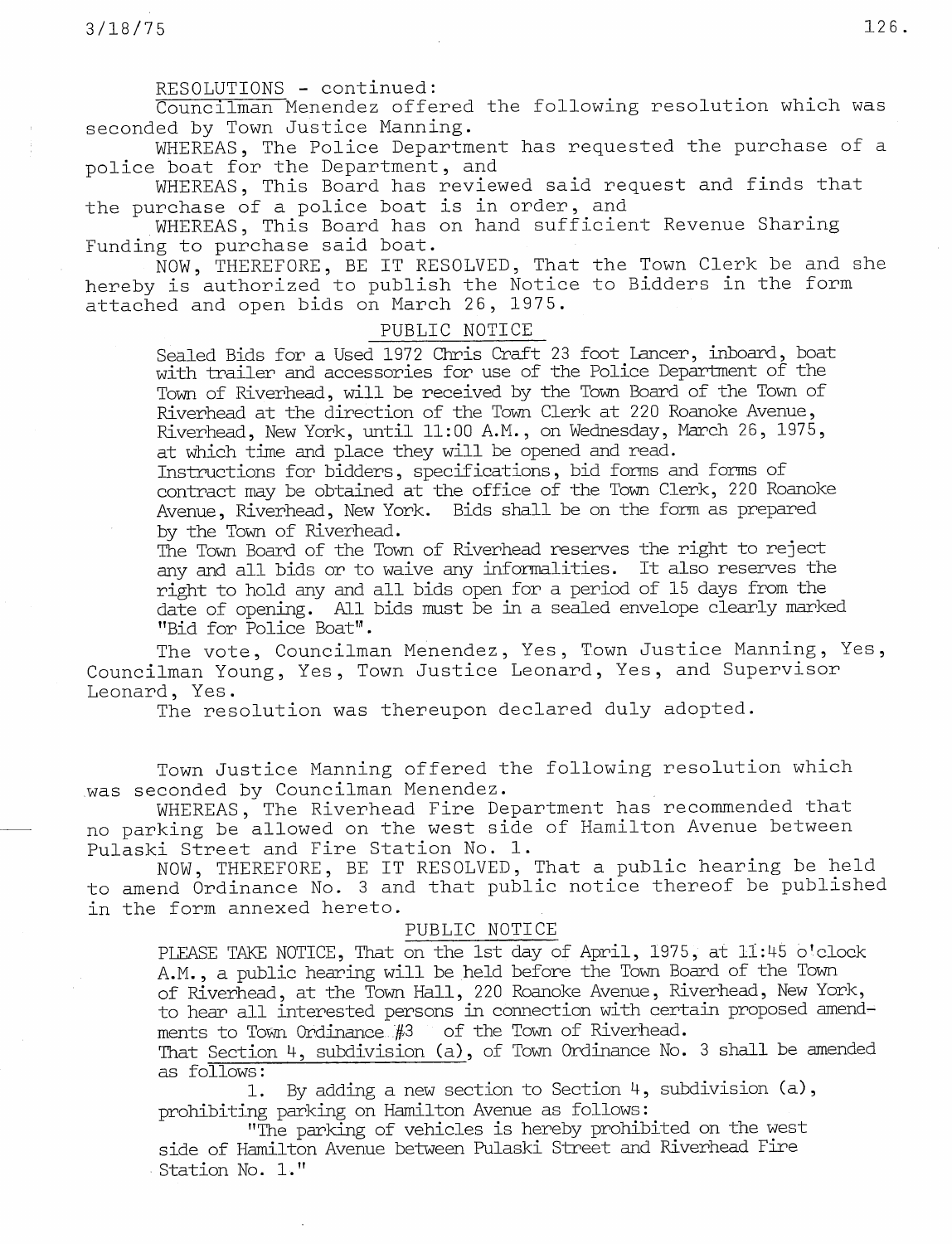### RESOLUTIONS - continued:

Councilman Menendez offered the following resolution which was seconded by Town Justice Manning.

WHEREAS, The Police Department has requested the purchase of a police boat for the Department, and

WHEREAS, This Board has reviewed said request and finds that the purchase of a police boat is in order, and

WHEREAS, This Board has on hand sufficient Revenue Sharing Funding to purchase said boat.

NOW, THEREFORE, BE IT RESOLVED, That the Town Clerk be and she hereby is authorized to publish the Notice to Bidders in the form attached and open bids on March 26, 1975.

# PUBLIC NOTICE

Sealed Bids for a Used 1972 Chris Craft 23 foot Lancer, inboard, boat with trailer and accessories for use of the Police Department of the Town of Riverhead, will be received by the Town Board of the Town of Riverhead at the direction of the Town Clerk at 220 Roanoke Avenue, Riverhead, New York, until 11:00 A.M., on Wednesday, March 26, 1975, at which time and place they will be opened and read.

Instructions for bidders, specifications, bid forms and forms of contract may be obtained at the office of the Town Clerk, 220 Roanoke Avenue, Riverhead, New York. Bids shall be on the form as prepared by the Town of Riverhead.

The Town Board of the Town of Riverhead reserves the right to reject any and all bids or to waive any informalities. It also reserves the right to hold any and all bids open for a period of 15 days from the date of opening. All bids must be in a sealed envelope clearly marked ''Bid for Police Boat".

The vote, Councilman Menendez, Yes, Town Justice Manning, Yes, Councilman Young, Yes, Town Justice Leonard, Yes, and Supervisor Leonard, Yes.

The resolution was thereupon declared duly adopted.

Town Justice Manning offered the following resolution which was seconded by Councilman Menendez.

WHEREAS, The Riverhead Fire Department has recommended that no parking be allowed on the west side of Hamilton Avenue between Pulaski Street and Fire Station No. 1.

NOW, THEREFORE, BE IT RESOLVED, That a public hearing be held to amend Ordinance No. 3 and that public notice thereof be published in the form annexed hereto.

## PUBLIC NOTICE

PLEASE TAKE NOTICE, That on the 1st day of April, 1975, at 11:45 o'clock A.M. , <sup>a</sup> public hearing will be held before the Town Board of the Town of Riverhead, at the Town Hall, 220 Roanoke Avenue, Riverhead, New York, to hear all interested persons in connection with certain proposed amend ments to Town Ordinance  $#3$  of the Town of Riverhead.

That Section 4, subdivision (a), of Town Ordinance No. 3 shall be amended as follows :

1. By adding a new section to Section 4, subdivision (a), prohibiting parking on Hamilton Avenue as follows :

"The parking of vehicles is hereby prohibited on the west side of Hamilton Avenue between Pulaski Street and Riverhead Fire Station No. 1."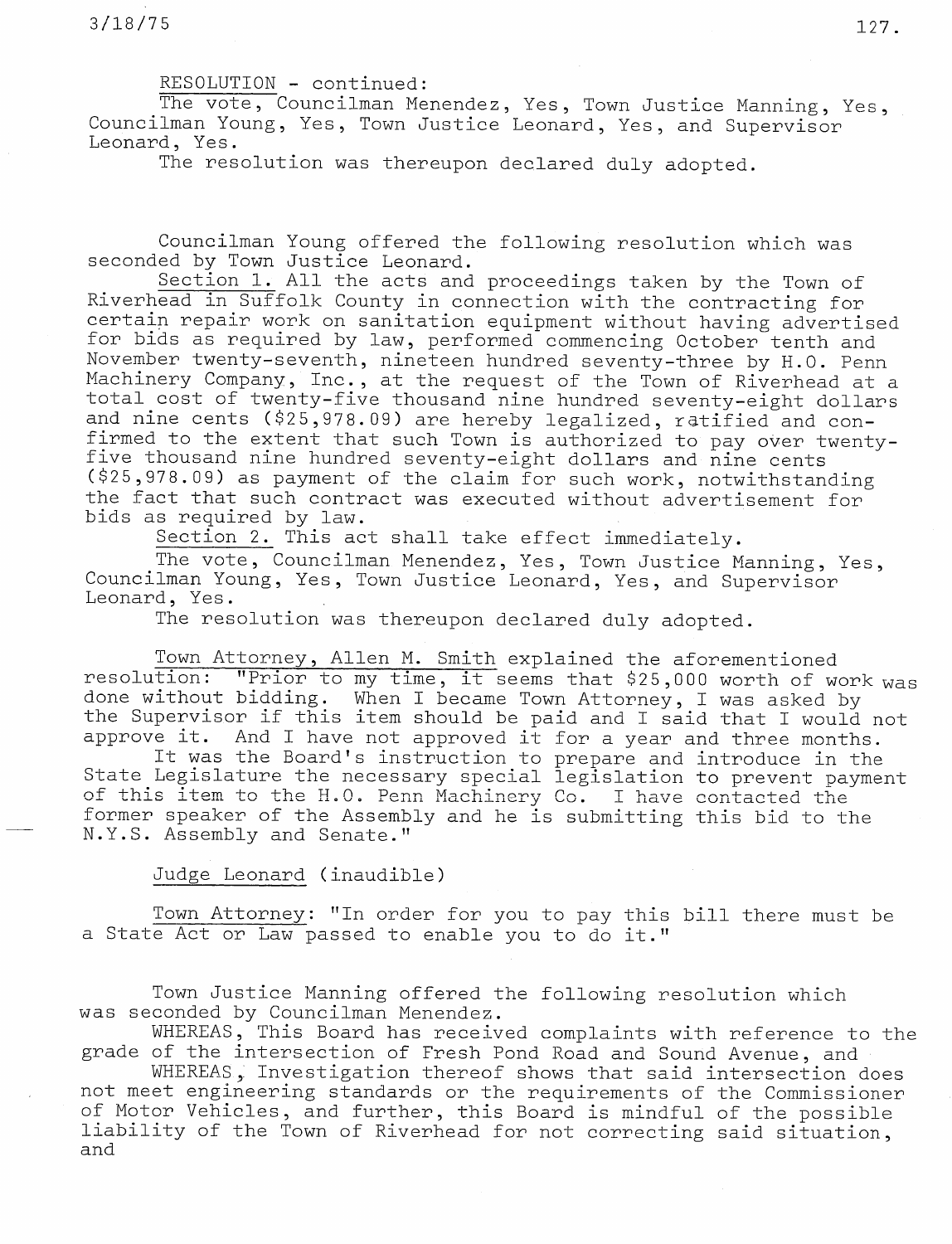RESOLUTION - continued:

The vote, Councilman Menendez, Yes, Town Justice Manning, Yes, Councilman Young, Yes, Town Justice Leonard, Yes, and Supervisor Leonard, Yes.

The resolution was thereupon declared duly adopted.

Councilman Young offered the following resolution which was seconded by Town Justice Leonard.

Section 1. All the acts and proceedings taken by the Town of Riverhead in Suffolk County in connection with the contracting for certain repair work on sanitation equipment without having advertised for bids as required by law, performed commencing October tenth and November twenty-seventh, nineteen hundred seventy-three by H.O. Penn Machinery Company, Inc., at the request of the Town of Riverhead at a total cost of twenty-five thousand nine hundred seventy-eight dollars and nine cents (\$25,978.09) are hereby legalized, ratified and confirmed to the extent that such Town is authorized to pay over twentyfive thousand nine hundred seventy-eight dollars and nine cents (\$25,978.09) as payment of the claim for such work, notwithstanding the fact that such contract was executed without advertisement for bids as required by law.

Section 2. This act shall take effect immediately.

The vote, Councilman Menendez, Yes, Town Justice Manning, Yes, Councilman Young, Yes, Town Justice Leonard, Yes, and Supervisor Leonard, Yes.

The resolution was thereupon declared duly adopted.

Town Attorney, Allen M. Smith explained the aforementioned resolution: "Prior to my time, it seems that \$25,000 worth of work was done without bidding. When I became Town Attorney, I was asked by the Supervisor if this item should be paid and I said that I would not approve it. And I have not approved it for a year and three months.

It was the Board's instruction to prepare and introduce in the State Legislature the necessary special legislation to prevent payment of this item to the H.O. Penn Machinery Co. I have contacted the former speaker of the Assembly and he is submitting this bid to the N.Y.S. Assembly and Senate."

Judge Leonard (inaudible)

Town Attorney: "In order for you to pay this bill there must be a State Act or Law passed to enable you to do it."

Town Justice Manning offered the following resolution which was seconded by Councilman Menendez.

WHEREAS, This Board has received complaints with reference to the grade of the intersection of Fresh Pond Road and Sound Avenue, and

WHEREAS, Investigation thereof shows that said intersection does not meet engineering standards or the requirements of the Commissioner of Motor Vehicles, and further, this Board is mindful of the possible liability of the Town of Riverhead for not correcting said situation, and